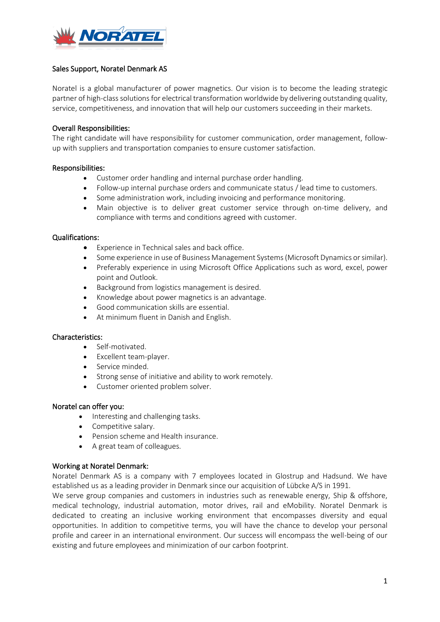

## Sales Support, Noratel Denmark AS

Noratel is a global manufacturer of power magnetics. Our vision is to become the leading strategic partner of high-class solutions for electrical transformation worldwide by delivering outstanding quality, service, competitiveness, and innovation that will help our customers succeeding in their markets.

## Overall Responsibilities:

The right candidate will have responsibility for customer communication, order management, followup with suppliers and transportation companies to ensure customer satisfaction.

### Responsibilities:

- Customer order handling and internal purchase order handling.
- Follow-up internal purchase orders and communicate status / lead time to customers.
- Some administration work, including invoicing and performance monitoring.
- Main objective is to deliver great customer service through on-time delivery, and compliance with terms and conditions agreed with customer.

### Qualifications:

- Experience in Technical sales and back office.
- Some experience in use of Business Management Systems(Microsoft Dynamics orsimilar).
- Preferably experience in using Microsoft Office Applications such as word, excel, power point and Outlook.
- Background from logistics management is desired.
- Knowledge about power magnetics is an advantage.
- Good communication skills are essential.
- At minimum fluent in Danish and English.

### Characteristics:

- Self-motivated.
- Excellent team-player.
- Service minded.
- Strong sense of initiative and ability to work remotely.
- Customer oriented problem solver.

### Noratel can offer you:

- Interesting and challenging tasks.
- Competitive salary.
- Pension scheme and Health insurance.
- A great team of colleagues.

### Working at Noratel Denmark:

Noratel Denmark AS is a company with 7 employees located in Glostrup and Hadsund. We have established us as a leading provider in Denmark since our acquisition of Lübcke A/S in 1991.

We serve group companies and customers in industries such as renewable energy, Ship & offshore, medical technology, industrial automation, motor drives, rail and eMobility. Noratel Denmark is dedicated to creating an inclusive working environment that encompasses diversity and equal opportunities. In addition to competitive terms, you will have the chance to develop your personal profile and career in an international environment. Our success will encompass the well-being of our existing and future employees and minimization of our carbon footprint.